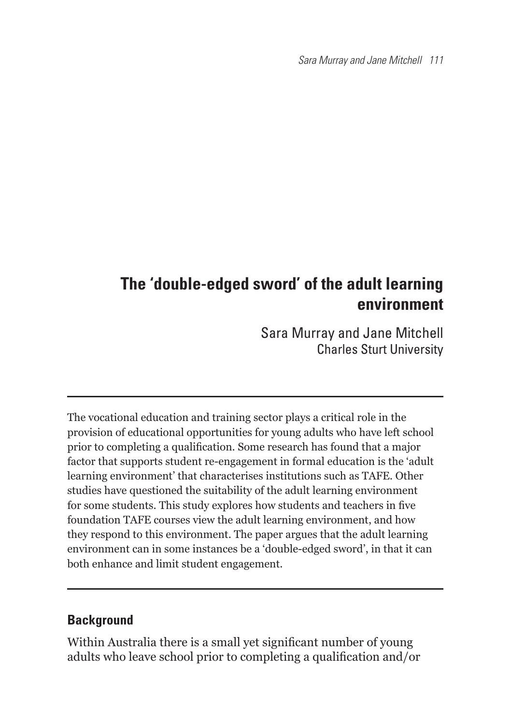Sara Murray and Jane Mitchell 111

# **The 'double-edged sword' of the adult learning environment**

Sara Murray and Jane Mitchell Charles Sturt University

The vocational education and training sector plays a critical role in the provision of educational opportunities for young adults who have left school prior to completing a qualification. Some research has found that a major factor that supports student re-engagement in formal education is the 'adult learning environment' that characterises institutions such as TAFE. Other studies have questioned the suitability of the adult learning environment for some students. This study explores how students and teachers in five foundation TAFE courses view the adult learning environment, and how they respond to this environment. The paper argues that the adult learning environment can in some instances be a 'double-edged sword', in that it can both enhance and limit student engagement.

#### **Background**

Within Australia there is a small vet significant number of young adults who leave school prior to completing a qualification and/or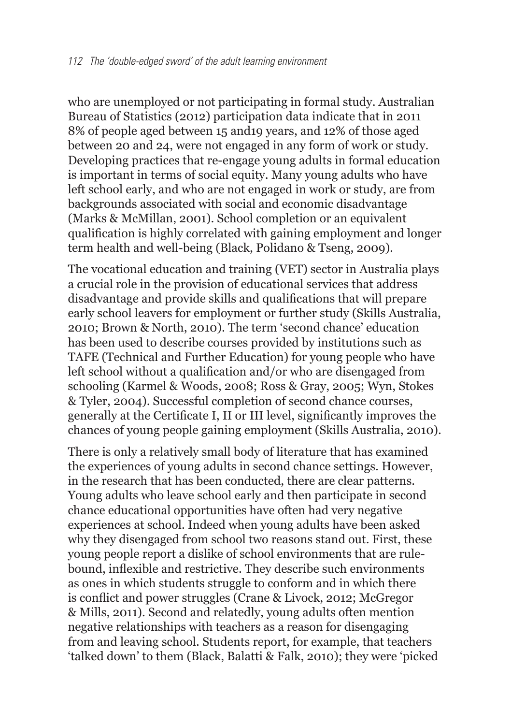who are unemployed or not participating in formal study. Australian Bureau of Statistics (2012) participation data indicate that in 2011 8% of people aged between 15 and19 years, and 12% of those aged between 20 and 24, were not engaged in any form of work or study. Developing practices that re-engage young adults in formal education is important in terms of social equity. Many young adults who have left school early, and who are not engaged in work or study, are from backgrounds associated with social and economic disadvantage (Marks & McMillan, 2001). School completion or an equivalent qualification is highly correlated with gaining employment and longer term health and well-being (Black, Polidano & Tseng, 2009).

The vocational education and training (VET) sector in Australia plays a crucial role in the provision of educational services that address disadvantage and provide skills and qualifications that will prepare early school leavers for employment or further study (Skills Australia, 2010; Brown & North, 2010). The term 'second chance' education has been used to describe courses provided by institutions such as TAFE (Technical and Further Education) for young people who have left school without a qualification and/or who are disengaged from schooling (Karmel & Woods, 2008; Ross & Gray, 2005; Wyn, Stokes & Tyler, 2004). Successful completion of second chance courses, generally at the Certificate I, II or III level, significantly improves the chances of young people gaining employment (Skills Australia, 2010).

There is only a relatively small body of literature that has examined the experiences of young adults in second chance settings. However, in the research that has been conducted, there are clear patterns. Young adults who leave school early and then participate in second chance educational opportunities have often had very negative experiences at school. Indeed when young adults have been asked why they disengaged from school two reasons stand out. First, these young people report a dislike of school environments that are rulebound, inflexible and restrictive. They describe such environments as ones in which students struggle to conform and in which there is conflict and power struggles (Crane & Livock, 2012; McGregor & Mills, 2011). Second and relatedly, young adults often mention negative relationships with teachers as a reason for disengaging from and leaving school. Students report, for example, that teachers 'talked down' to them (Black, Balatti & Falk, 2010); they were 'picked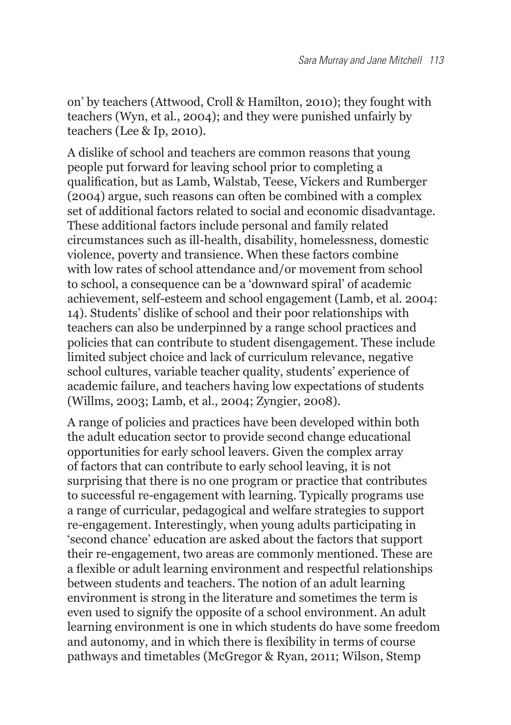on' by teachers (Attwood, Croll & Hamilton, 2010); they fought with teachers (Wyn, et al., 2004); and they were punished unfairly by teachers (Lee & Ip, 2010).

A dislike of school and teachers are common reasons that young people put forward for leaving school prior to completing a qualification, but as Lamb, Walstab, Teese, Vickers and Rumberger (2004) argue, such reasons can often be combined with a complex set of additional factors related to social and economic disadvantage. These additional factors include personal and family related circumstances such as ill-health, disability, homelessness, domestic violence, poverty and transience. When these factors combine with low rates of school attendance and/or movement from school to school, a consequence can be a 'downward spiral' of academic achievement, self-esteem and school engagement (Lamb, et al. 2004: 14). Students' dislike of school and their poor relationships with teachers can also be underpinned by a range school practices and policies that can contribute to student disengagement. These include limited subject choice and lack of curriculum relevance, negative school cultures, variable teacher quality, students' experience of academic failure, and teachers having low expectations of students (Willms, 2003; Lamb, et al., 2004; Zyngier, 2008).

A range of policies and practices have been developed within both the adult education sector to provide second change educational opportunities for early school leavers. Given the complex array of factors that can contribute to early school leaving, it is not surprising that there is no one program or practice that contributes to successful re-engagement with learning. Typically programs use a range of curricular, pedagogical and welfare strategies to support re-engagement. Interestingly, when young adults participating in 'second chance' education are asked about the factors that support their re-engagement, two areas are commonly mentioned. These are a flexible or adult learning environment and respectful relationships between students and teachers. The notion of an adult learning environment is strong in the literature and sometimes the term is even used to signify the opposite of a school environment. An adult learning environment is one in which students do have some freedom and autonomy, and in which there is flexibility in terms of course pathways and timetables (McGregor & Ryan, 2011; Wilson, Stemp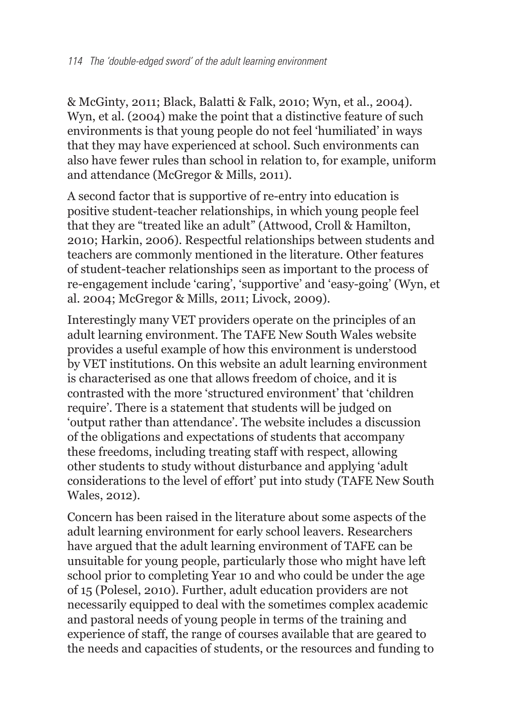& McGinty, 2011; Black, Balatti & Falk, 2010; Wyn, et al., 2004). Wyn, et al. (2004) make the point that a distinctive feature of such environments is that young people do not feel 'humiliated' in ways that they may have experienced at school. Such environments can also have fewer rules than school in relation to, for example, uniform and attendance (McGregor & Mills, 2011).

A second factor that is supportive of re-entry into education is positive student-teacher relationships, in which young people feel that they are "treated like an adult" (Attwood, Croll & Hamilton, 2010; Harkin, 2006). Respectful relationships between students and teachers are commonly mentioned in the literature. Other features of student-teacher relationships seen as important to the process of re-engagement include 'caring', 'supportive' and 'easy-going' (Wyn, et al. 2004; McGregor & Mills, 2011; Livock, 2009).

Interestingly many VET providers operate on the principles of an adult learning environment. The TAFE New South Wales website provides a useful example of how this environment is understood by VET institutions. On this website an adult learning environment is characterised as one that allows freedom of choice, and it is contrasted with the more 'structured environment' that 'children require'. There is a statement that students will be judged on 'output rather than attendance'. The website includes a discussion of the obligations and expectations of students that accompany these freedoms, including treating staff with respect, allowing other students to study without disturbance and applying 'adult considerations to the level of effort' put into study (TAFE New South Wales, 2012).

Concern has been raised in the literature about some aspects of the adult learning environment for early school leavers. Researchers have argued that the adult learning environment of TAFE can be unsuitable for young people, particularly those who might have left school prior to completing Year 10 and who could be under the age of 15 (Polesel, 2010). Further, adult education providers are not necessarily equipped to deal with the sometimes complex academic and pastoral needs of young people in terms of the training and experience of staff, the range of courses available that are geared to the needs and capacities of students, or the resources and funding to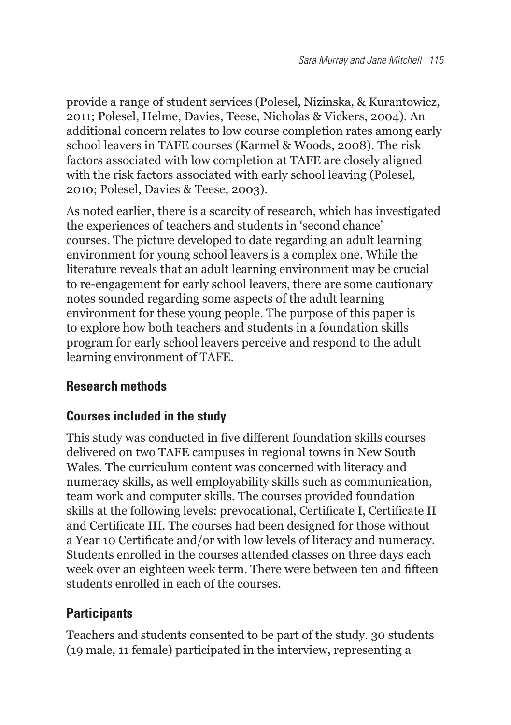provide a range of student services (Polesel, Nizinska, & Kurantowicz, 2011; Polesel, Helme, Davies, Teese, Nicholas & Vickers, 2004). An additional concern relates to low course completion rates among early school leavers in TAFE courses (Karmel & Woods, 2008). The risk factors associated with low completion at TAFE are closely aligned with the risk factors associated with early school leaving (Polesel, 2010; Polesel, Davies & Teese, 2003).

As noted earlier, there is a scarcity of research, which has investigated the experiences of teachers and students in 'second chance' courses. The picture developed to date regarding an adult learning environment for young school leavers is a complex one. While the literature reveals that an adult learning environment may be crucial to re-engagement for early school leavers, there are some cautionary notes sounded regarding some aspects of the adult learning environment for these young people. The purpose of this paper is to explore how both teachers and students in a foundation skills program for early school leavers perceive and respond to the adult learning environment of TAFE.

# **Research methods**

# **Courses included in the study**

This study was conducted in five different foundation skills courses delivered on two TAFE campuses in regional towns in New South Wales. The curriculum content was concerned with literacy and numeracy skills, as well employability skills such as communication, team work and computer skills. The courses provided foundation skills at the following levels: prevocational, Certificate I, Certificate II and Certificate III. The courses had been designed for those without a Year 10 Certificate and/or with low levels of literacy and numeracy. Students enrolled in the courses attended classes on three days each week over an eighteen week term. There were between ten and fifteen students enrolled in each of the courses.

# **Participants**

Teachers and students consented to be part of the study. 30 students (19 male, 11 female) participated in the interview, representing a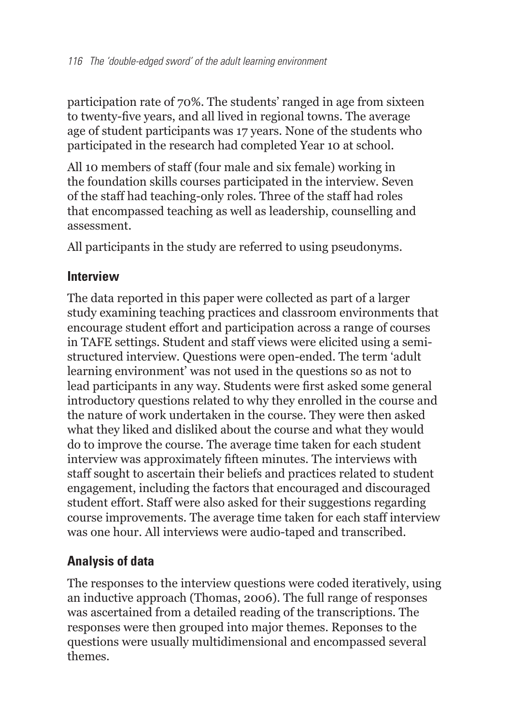participation rate of 70%. The students' ranged in age from sixteen to twenty-five years, and all lived in regional towns. The average age of student participants was 17 years. None of the students who participated in the research had completed Year 10 at school.

All 10 members of staff (four male and six female) working in the foundation skills courses participated in the interview. Seven of the staff had teaching-only roles. Three of the staff had roles that encompassed teaching as well as leadership, counselling and assessment.

All participants in the study are referred to using pseudonyms.

#### **Interview**

The data reported in this paper were collected as part of a larger study examining teaching practices and classroom environments that encourage student effort and participation across a range of courses in TAFE settings. Student and staff views were elicited using a semistructured interview. Questions were open-ended. The term 'adult learning environment' was not used in the questions so as not to lead participants in any way. Students were first asked some general introductory questions related to why they enrolled in the course and the nature of work undertaken in the course. They were then asked what they liked and disliked about the course and what they would do to improve the course. The average time taken for each student interview was approximately fifteen minutes. The interviews with staff sought to ascertain their beliefs and practices related to student engagement, including the factors that encouraged and discouraged student effort. Staff were also asked for their suggestions regarding course improvements. The average time taken for each staff interview was one hour. All interviews were audio-taped and transcribed.

# **Analysis of data**

The responses to the interview questions were coded iteratively, using an inductive approach (Thomas, 2006). The full range of responses was ascertained from a detailed reading of the transcriptions. The responses were then grouped into major themes. Reponses to the questions were usually multidimensional and encompassed several themes.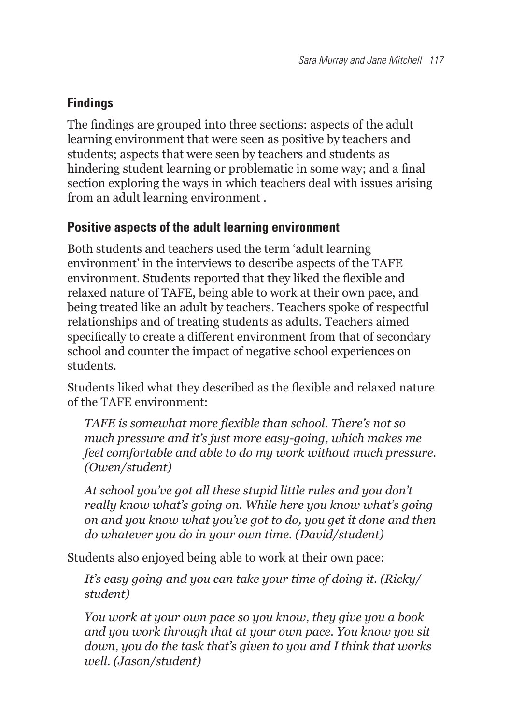# **Findings**

The findings are grouped into three sections: aspects of the adult learning environment that were seen as positive by teachers and students; aspects that were seen by teachers and students as hindering student learning or problematic in some way; and a final section exploring the ways in which teachers deal with issues arising from an adult learning environment .

#### **Positive aspects of the adult learning environment**

Both students and teachers used the term 'adult learning environment' in the interviews to describe aspects of the TAFE environment. Students reported that they liked the flexible and relaxed nature of TAFE, being able to work at their own pace, and being treated like an adult by teachers. Teachers spoke of respectful relationships and of treating students as adults. Teachers aimed specifically to create a different environment from that of secondary school and counter the impact of negative school experiences on students.

Students liked what they described as the flexible and relaxed nature of the TAFE environment:

*TAFE* is somewhat more flexible than school. There's not so *much pressure and it's just more easy-going, which makes me feel comfortable and able to do my work without much pressure. (Owen/student)*

*At school you've got all these stupid little rules and you don't really know what's going on. While here you know what's going on and you know what you've got to do, you get it done and then do whatever you do in your own time. (David/student)*

Students also enjoyed being able to work at their own pace:

*It's easy going and you can take your time of doing it. (Ricky/ student)*

*You work at your own pace so you know, they give you a book and you work through that at your own pace. You know you sit down, you do the task that's given to you and I think that works well. (Jason/student)*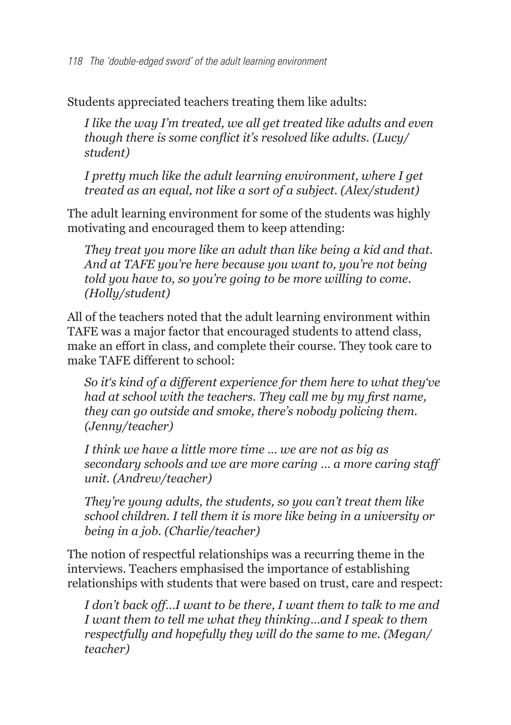118 The 'double-edged sword' of the adult learning environment

Students appreciated teachers treating them like adults:

*I like the way I'm treated, we all get treated like adults and even though there is some conflict it's resolved like adults. (Lucy/ student)*

*I pretty much like the adult learning environment, where I get treated as an equal, not like a sort of a subject. (Alex/student)*

The adult learning environment for some of the students was highly motivating and encouraged them to keep attending:

*They treat you more like an adult than like being a kid and that. And at TAFE you're here because you want to, you're not being told you have to, so you're going to be more willing to come. (Holly/student)*

All of the teachers noted that the adult learning environment within TAFE was a major factor that encouraged students to attend class, make an effort in class, and complete their course. They took care to make TAFE different to school:

*So it's kind of a different experience for them here to what they've had at school with the teachers. They call me by my first name. they can go outside and smoke, there's nobody policing them. (Jenny/teacher)*

*I think we have a little more time … we are not as big as secondary schools and we are more caring … a more caring staff unit. (Andrew/teacher)*

*They're young adults, the students, so you can't treat them like school children. I tell them it is more like being in a university or being in a job. (Charlie/teacher)*

The notion of respectful relationships was a recurring theme in the interviews. Teachers emphasised the importance of establishing relationships with students that were based on trust, care and respect:

*I don't back off…I want to be there, I want them to talk to me and I want them to tell me what they thinking…and I speak to them respectfully and hopefully they will do the same to me. (Megan/ teacher)*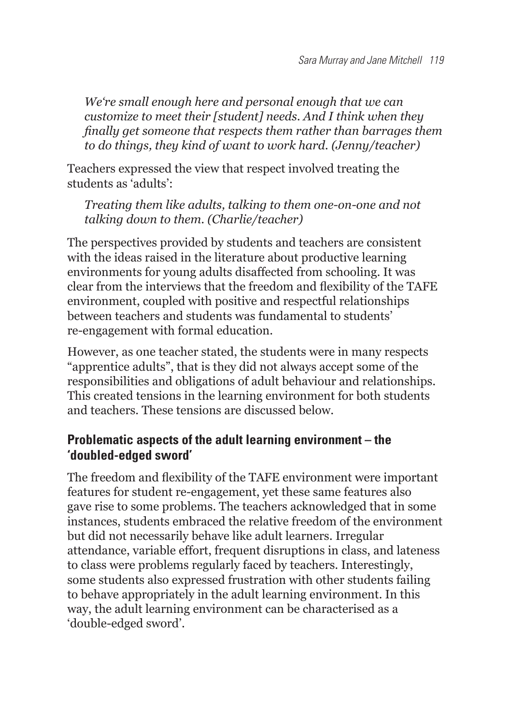*We're small enough here and personal enough that we can customize to meet their [student] needs. And I think when they finally get someone that respects them rather than barrages them to do things, they kind of want to work hard. (Jenny/teacher)*

Teachers expressed the view that respect involved treating the students as 'adults':

*Treating them like adults, talking to them one-on-one and not talking down to them. (Charlie/teacher)*

The perspectives provided by students and teachers are consistent with the ideas raised in the literature about productive learning environments for young adults disaffected from schooling. It was clear from the interviews that the freedom and flexibility of the TAFE environment, coupled with positive and respectful relationships between teachers and students was fundamental to students' re-engagement with formal education.

However, as one teacher stated, the students were in many respects "apprentice adults", that is they did not always accept some of the responsibilities and obligations of adult behaviour and relationships. This created tensions in the learning environment for both students and teachers. These tensions are discussed below.

#### **Problematic aspects of the adult learning environment – the 'doubled-edged sword'**

The freedom and flexibility of the TAFE environment were important features for student re-engagement, yet these same features also gave rise to some problems. The teachers acknowledged that in some instances, students embraced the relative freedom of the environment but did not necessarily behave like adult learners. Irregular attendance, variable effort, frequent disruptions in class, and lateness to class were problems regularly faced by teachers. Interestingly, some students also expressed frustration with other students failing to behave appropriately in the adult learning environment. In this way, the adult learning environment can be characterised as a 'double-edged sword'.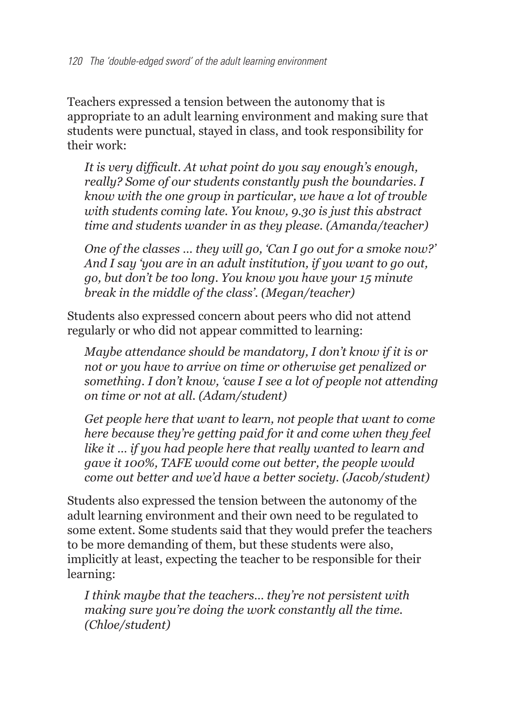Teachers expressed a tension between the autonomy that is appropriate to an adult learning environment and making sure that students were punctual, stayed in class, and took responsibility for their work:

It is very difficult. At what point do you say enough's enough, *really? Some of our students constantly push the boundaries. I know with the one group in particular, we have a lot of trouble with students coming late. You know, 9.30 is just this abstract time and students wander in as they please. (Amanda/teacher)*

*One of the classes … they will go, 'Can I go out for a smoke now?' And I say 'you are in an adult institution, if you want to go out, go, but don't be too long. You know you have your 15 minute break in the middle of the class'. (Megan/teacher)*

Students also expressed concern about peers who did not attend regularly or who did not appear committed to learning:

*Maybe attendance should be mandatory, I don't know if it is or not or you have to arrive on time or otherwise get penalized or something. I don't know, 'cause I see a lot of people not attending on time or not at all. (Adam/student)*

*Get people here that want to learn, not people that want to come here because they're getting paid for it and come when they feel like it … if you had people here that really wanted to learn and gave it 100%, TAFE would come out better, the people would come out better and we'd have a better society. (Jacob/student)*

Students also expressed the tension between the autonomy of the adult learning environment and their own need to be regulated to some extent. Some students said that they would prefer the teachers to be more demanding of them, but these students were also, implicitly at least, expecting the teacher to be responsible for their learning:

*I think maybe that the teachers… they're not persistent with making sure you're doing the work constantly all the time. (Chloe/student)*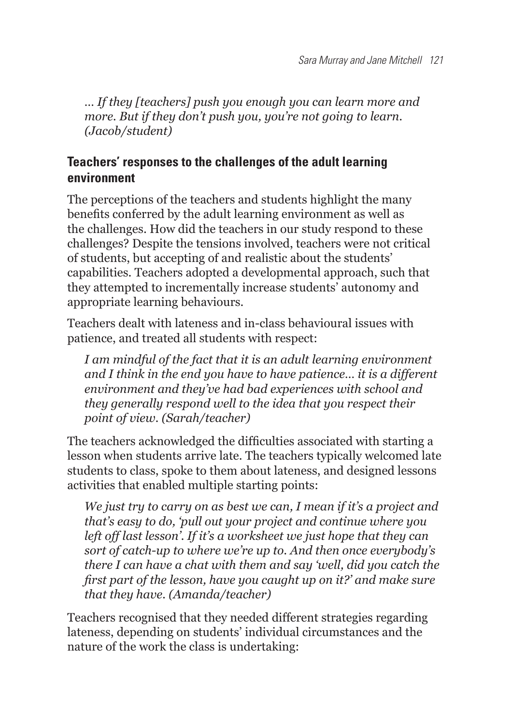*… If they [teachers] push you enough you can learn more and more. But if they don't push you, you're not going to learn. (Jacob/student)*

# **Teachers' responses to the challenges of the adult learning environment**

The perceptions of the teachers and students highlight the many benefits conferred by the adult learning environment as well as the challenges. How did the teachers in our study respond to these challenges? Despite the tensions involved, teachers were not critical of students, but accepting of and realistic about the students' capabilities. Teachers adopted a developmental approach, such that they attempted to incrementally increase students' autonomy and appropriate learning behaviours.

Teachers dealt with lateness and in-class behavioural issues with patience, and treated all students with respect:

*I am mindful of the fact that it is an adult learning environment and I think in the end you have to have patience… it is a different environment and they've had bad experiences with school and they generally respond well to the idea that you respect their point of view. (Sarah/teacher)*

The teachers acknowledged the difficulties associated with starting a lesson when students arrive late. The teachers typically welcomed late students to class, spoke to them about lateness, and designed lessons activities that enabled multiple starting points:

*We just try to carry on as best we can, I mean if it's a project and that's easy to do, 'pull out your project and continue where you left off last lesson'. If it's a worksheet we just hope that they can sort of catch-up to where we're up to. And then once everybody's there I can have a chat with them and say 'well, did you catch the first part of the lesson, have you caught up on it?' and make sure that they have. (Amanda/teacher)* 

Teachers recognised that they needed different strategies regarding lateness, depending on students' individual circumstances and the nature of the work the class is undertaking: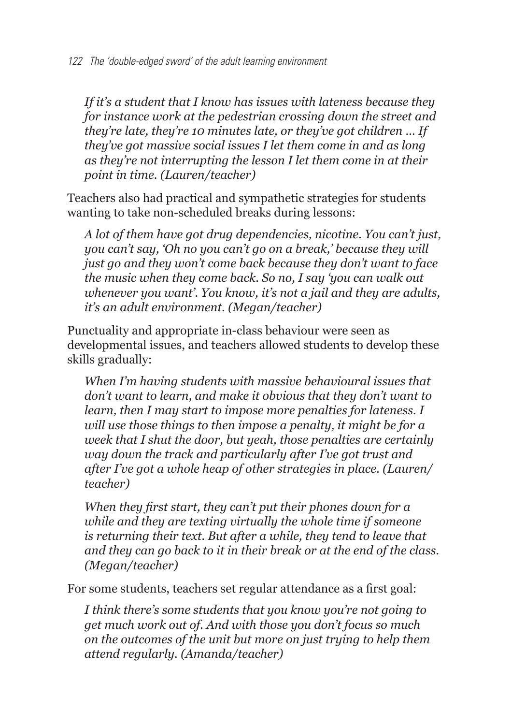*If it's a student that I know has issues with lateness because they for instance work at the pedestrian crossing down the street and they're late, they're 10 minutes late, or they've got children … If they've got massive social issues I let them come in and as long as they're not interrupting the lesson I let them come in at their point in time. (Lauren/teacher)*

Teachers also had practical and sympathetic strategies for students wanting to take non-scheduled breaks during lessons:

*A lot of them have got drug dependencies, nicotine. You can't just, you can't say, 'Oh no you can't go on a break,' because they will just go and they won't come back because they don't want to face the music when they come back. So no, I say 'you can walk out whenever you want'. You know, it's not a jail and they are adults, it's an adult environment. (Megan/teacher)*

Punctuality and appropriate in-class behaviour were seen as developmental issues, and teachers allowed students to develop these skills gradually:

*When I'm having students with massive behavioural issues that don't want to learn, and make it obvious that they don't want to learn, then I may start to impose more penalties for lateness. I will use those things to then impose a penalty, it might be for a week that I shut the door, but yeah, those penalties are certainly way down the track and particularly after I've got trust and after I've got a whole heap of other strategies in place. (Lauren/ teacher)*

*When they first start, they can't put their phones down for a while and they are texting virtually the whole time if someone is returning their text. But after a while, they tend to leave that and they can go back to it in their break or at the end of the class. (Megan/teacher)*

For some students, teachers set regular attendance as a first goal:

*I think there's some students that you know you're not going to get much work out of. And with those you don't focus so much on the outcomes of the unit but more on just trying to help them attend regularly. (Amanda/teacher)*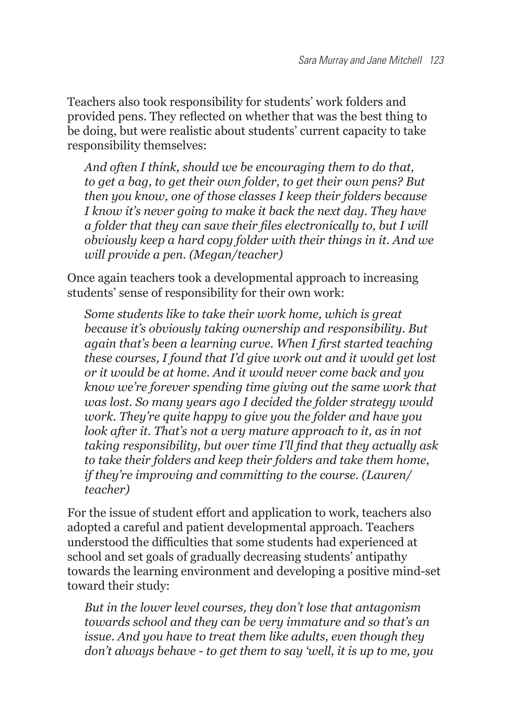Teachers also took responsibility for students' work folders and provided pens. They reflected on whether that was the best thing to be doing, but were realistic about students' current capacity to take responsibility themselves:

*And often I think, should we be encouraging them to do that, to get a bag, to get their own folder, to get their own pens? But then you know, one of those classes I keep their folders because I know it's never going to make it back the next day. They have*  a folder that they can save their files electronically to, but I will *obviously keep a hard copy folder with their things in it. And we will provide a pen. (Megan/teacher)*

Once again teachers took a developmental approach to increasing students' sense of responsibility for their own work:

*Some students like to take their work home, which is great because it's obviously taking ownership and responsibility. But*  again that's been a learning curve. When I first started teaching *these courses, I found that I'd give work out and it would get lost or it would be at home. And it would never come back and you know we're forever spending time giving out the same work that was lost. So many years ago I decided the folder strategy would work. They're quite happy to give you the folder and have you look after it. That's not a very mature approach to it, as in not*  taking responsibility, but over time I'll find that they actually ask *to take their folders and keep their folders and take them home, if they're improving and committing to the course. (Lauren/ teacher)*

For the issue of student effort and application to work, teachers also adopted a careful and patient developmental approach. Teachers understood the difficulties that some students had experienced at school and set goals of gradually decreasing students' antipathy towards the learning environment and developing a positive mind-set toward their study:

*But in the lower level courses, they don't lose that antagonism towards school and they can be very immature and so that's an issue. And you have to treat them like adults, even though they don't always behave - to get them to say 'well, it is up to me, you*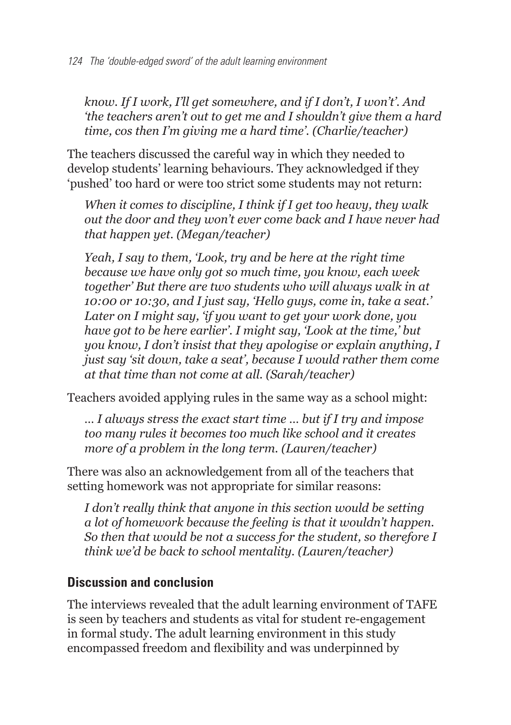*know. If I work, I'll get somewhere, and if I don't, I won't'. And 'the teachers aren't out to get me and I shouldn't give them a hard time, cos then I'm giving me a hard time'. (Charlie/teacher)*

The teachers discussed the careful way in which they needed to develop students' learning behaviours. They acknowledged if they 'pushed' too hard or were too strict some students may not return:

*When it comes to discipline, I think if I get too heavy, they walk out the door and they won't ever come back and I have never had that happen yet. (Megan/teacher)* 

*Yeah, I say to them, 'Look, try and be here at the right time because we have only got so much time, you know, each week together' But there are two students who will always walk in at 10:00 or 10:30, and I just say, 'Hello guys, come in, take a seat.' Later on I might say, 'if you want to get your work done, you have got to be here earlier'. I might say, 'Look at the time,' but you know, I don't insist that they apologise or explain anything, I just say 'sit down, take a seat', because I would rather them come at that time than not come at all. (Sarah/teacher)*

Teachers avoided applying rules in the same way as a school might:

*… I always stress the exact start time … but if I try and impose too many rules it becomes too much like school and it creates more of a problem in the long term. (Lauren/teacher)*

There was also an acknowledgement from all of the teachers that setting homework was not appropriate for similar reasons:

*I* don't really think that anyone in this section would be setting *a lot of homework because the feeling is that it wouldn't happen. So then that would be not a success for the student, so therefore I think we'd be back to school mentality. (Lauren/teacher)*

#### **Discussion and conclusion**

The interviews revealed that the adult learning environment of TAFE is seen by teachers and students as vital for student re-engagement in formal study. The adult learning environment in this study encompassed freedom and flexibility and was underpinned by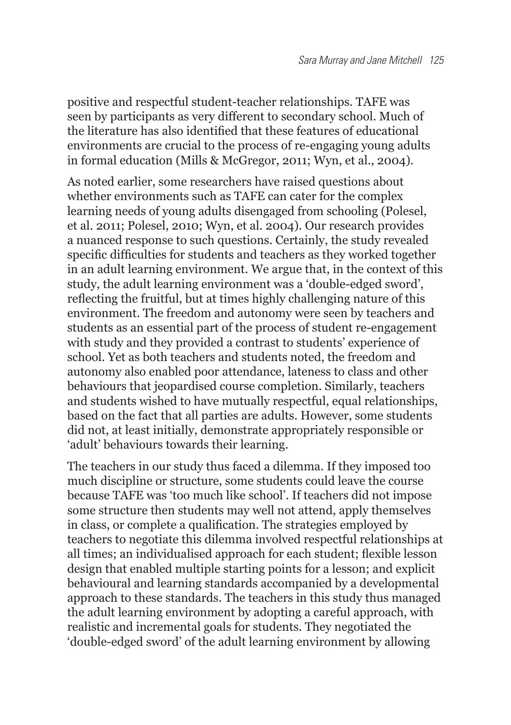positive and respectful student-teacher relationships. TAFE was seen by participants as very different to secondary school. Much of the literature has also identified that these features of educational environments are crucial to the process of re-engaging young adults in formal education (Mills & McGregor, 2011; Wyn, et al., 2004).

As noted earlier, some researchers have raised questions about whether environments such as TAFE can cater for the complex learning needs of young adults disengaged from schooling (Polesel, et al. 2011; Polesel, 2010; Wyn, et al. 2004). Our research provides a nuanced response to such questions. Certainly, the study revealed specific difficulties for students and teachers as they worked together in an adult learning environment. We argue that, in the context of this study, the adult learning environment was a 'double-edged sword', reflecting the fruitful, but at times highly challenging nature of this environment. The freedom and autonomy were seen by teachers and students as an essential part of the process of student re-engagement with study and they provided a contrast to students' experience of school. Yet as both teachers and students noted, the freedom and autonomy also enabled poor attendance, lateness to class and other behaviours that jeopardised course completion. Similarly, teachers and students wished to have mutually respectful, equal relationships, based on the fact that all parties are adults. However, some students did not, at least initially, demonstrate appropriately responsible or 'adult' behaviours towards their learning.

The teachers in our study thus faced a dilemma. If they imposed too much discipline or structure, some students could leave the course because TAFE was 'too much like school'. If teachers did not impose some structure then students may well not attend, apply themselves in class, or complete a qualification. The strategies employed by teachers to negotiate this dilemma involved respectful relationships at all times: an individualised approach for each student: flexible lesson design that enabled multiple starting points for a lesson; and explicit behavioural and learning standards accompanied by a developmental approach to these standards. The teachers in this study thus managed the adult learning environment by adopting a careful approach, with realistic and incremental goals for students. They negotiated the 'double-edged sword' of the adult learning environment by allowing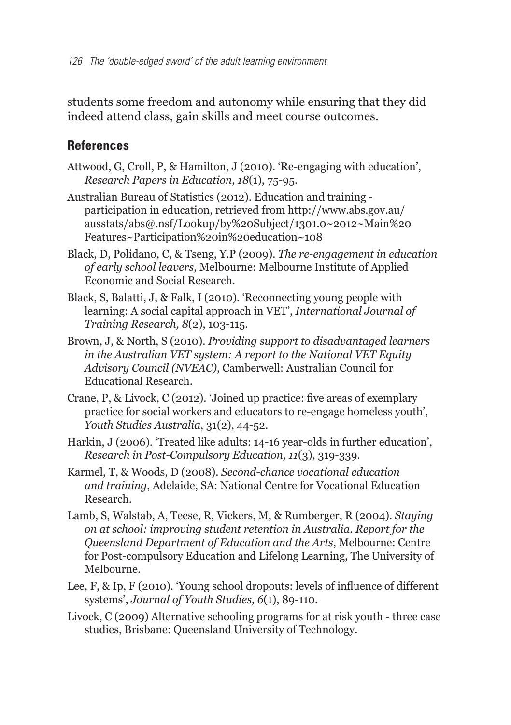students some freedom and autonomy while ensuring that they did indeed attend class, gain skills and meet course outcomes.

#### **References**

- Attwood, G, Croll, P, & Hamilton, J (2010). 'Re-engaging with education', *Research Papers in Education, 18*(1), 75-95.
- Australian Bureau of Statistics (2012). Education and training participation in education, retrieved from http://www.abs.gov.au/ ausstats/abs@.nsf/Lookup/by%20Subject/1301.0~2012~Main%20 Features~Participation%20in%20education~108
- Black, D, Polidano, C, & Tseng, Y.P (2009). *The re-engagement in education of early school leavers*, Melbourne: Melbourne Institute of Applied Economic and Social Research.
- Black, S, Balatti, J, & Falk, I (2010). 'Reconnecting young people with learning: A social capital approach in VET', *International Journal of Training Research, 8*(2), 103-115.
- Brown, J, & North, S (2010). *Providing support to disadvantaged learners in the Australian VET system: A report to the National VET Equity Advisory Council (NVEAC)*, Camberwell: Australian Council for Educational Research.
- Crane, P. & Livock, C (2012). 'Joined up practice: five areas of exemplary practice for social workers and educators to re-engage homeless youth', *Youth Studies Australia*, 31(2), 44-52.
- Harkin, J (2006). 'Treated like adults: 14-16 year-olds in further education', *Research in Post-Compulsory Education, 11*(3), 319-339.
- Karmel, T, & Woods, D (2008). *Second-chance vocational education and training*, Adelaide, SA: National Centre for Vocational Education Research.
- Lamb, S, Walstab, A, Teese, R, Vickers, M, & Rumberger, R (2004). *Staying on at school: improving student retention in Australia. Report for the Queensland Department of Education and the Arts*, Melbourne: Centre for Post-compulsory Education and Lifelong Learning, The University of Melbourne.
- Lee, F, & Ip, F (2010). 'Young school dropouts: levels of influence of different systems', *Journal of Youth Studies, 6*(1), 89-110.
- Livock, C (2009) Alternative schooling programs for at risk youth three case studies, Brisbane: Queensland University of Technology.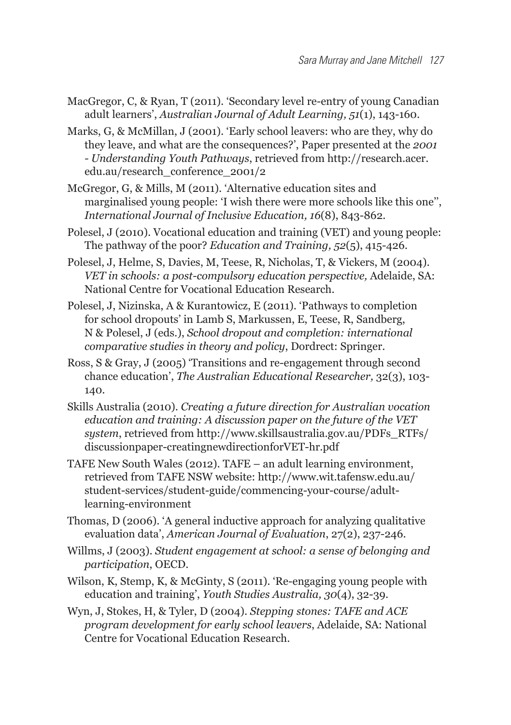- MacGregor, C, & Ryan, T (2011). 'Secondary level re-entry of young Canadian adult learners', *Australian Journal of Adult Learning, 51*(1), 143-160.
- Marks, G, & McMillan, J (2001). 'Early school leavers: who are they, why do they leave, and what are the consequences?', Paper presented at the 2001 *- Understanding Youth Pathways*, retrieved from http://research.acer. edu.au/research\_conference\_2001/2
- McGregor, G, & Mills, M (2011). 'Alternative education sites and marginalised young people: 'I wish there were more schools like this one'', *International Journal of Inclusive Education, 16*(8), 843-862.
- Polesel, J (2010). Vocational education and training (VET) and young people: The pathway of the poor? *Education and Training, 52*(5), 415-426.
- Polesel, J, Helme, S, Davies, M, Teese, R, Nicholas, T, & Vickers, M (2004). *VET in schools: a post-compulsory education perspective,* Adelaide, SA: National Centre for Vocational Education Research.
- Polesel, J, Nizinska, A & Kurantowicz, E (2011). 'Pathways to completion for school dropouts' in Lamb S, Markussen, E, Teese, R, Sandberg, N & Polesel, J (eds.), *School dropout and completion: international comparative studies in theory and policy*, Dordrect: Springer.
- Ross, S & Gray, J (2005) 'Transitions and re-engagement through second chance education', *The Australian Educational Researcher,* 32(3), 103- 140.
- Skills Australia (2010). *Creating a future direction for Australian vocation education and training: A discussion paper on the future of the VET system*, retrieved from http://www.skillsaustralia.gov.au/PDFs\_RTFs/ discussionpaper-creatingnewdirectionforVET-hr.pdf
- TAFE New South Wales (2012). TAFE an adult learning environment, retrieved from TAFE NSW website: http://www.wit.tafensw.edu.au/ student-services/student-guide/commencing-your-course/adultlearning-environment
- Thomas, D (2006). 'A general inductive approach for analyzing qualitative evaluation data', *American Journal of Evaluation*, 27(2), 237-246.
- Willms, J (2003). *Student engagement at school: a sense of belonging and participation*, OECD.
- Wilson, K, Stemp, K, & McGinty, S (2011). 'Re-engaging young people with education and training', *Youth Studies Australia, 30*(4), 32-39.
- Wyn, J, Stokes, H, & Tyler, D (2004). *Stepping stones: TAFE and ACE program development for early school leavers*, Adelaide, SA: National Centre for Vocational Education Research.